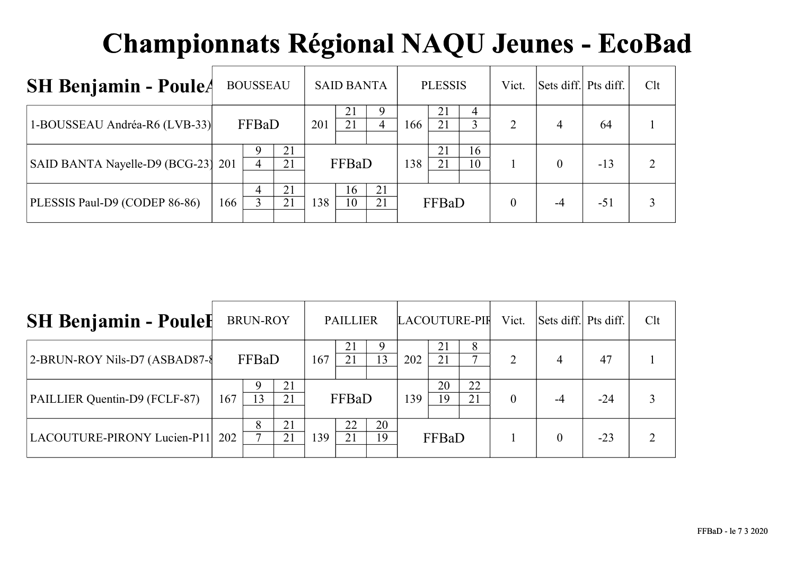| <b>SH Benjamin - PouleA</b>        |     | <b>BOUSSEAU</b>     |          |     | <b>SAID BANTA</b> |          |     | <b>PLESSIS</b> |          | Vict. | Sets diff. Pts diff. |       | Clt |
|------------------------------------|-----|---------------------|----------|-----|-------------------|----------|-----|----------------|----------|-------|----------------------|-------|-----|
| 1-BOUSSEAU Andréa-R6 (LVB-33)      |     | FFBaD               |          | 201 | 21<br>21          | 4        | 166 | 21<br>21       | 4        | 2     | 4                    | 64    |     |
| SAID BANTA Nayelle-D9 (BCG-23) 201 |     | 9<br>$\overline{4}$ | 21<br>21 |     | FFBaD             |          | 138 | 21<br>21       | 16<br>10 |       | $\Omega$             | $-13$ |     |
| PLESSIS Paul-D9 (CODEP 86-86)      | 166 | 4                   | 21<br>21 | 138 | 16<br>10          | 21<br>21 |     | FFBaD          |          |       | -4                   | $-51$ |     |

| <b>SH Benjamin - Poulel</b>     |     | <b>BRUN-ROY</b>    |          |     | <b>PAILLIER</b> |          |     |          | LACOUTURE-PIF | Vict.          | Sets diff. Pts diff. |       | Clt |
|---------------------------------|-----|--------------------|----------|-----|-----------------|----------|-----|----------|---------------|----------------|----------------------|-------|-----|
| 2-BRUN-ROY Nils-D7 (ASBAD87-8   |     | FFBaD              |          | 167 | 21              | 9<br>13  | 202 | 21<br>21 | 8             | 2              | 4                    | 47    |     |
| PAILLIER Quentin-D9 (FCLF-87)   | 167 | 13                 | 21<br>21 |     | FFBaD           |          | 139 | 20<br>19 | 22<br>21      | $\overline{0}$ | -4                   | $-24$ |     |
| LACOUTURE-PIRONY Lucien-P11 202 |     | 8<br>$\mathcal{L}$ | 21<br>21 | 139 | 22<br>21        | 20<br>19 |     | FFBaD    |               |                |                      | $-23$ |     |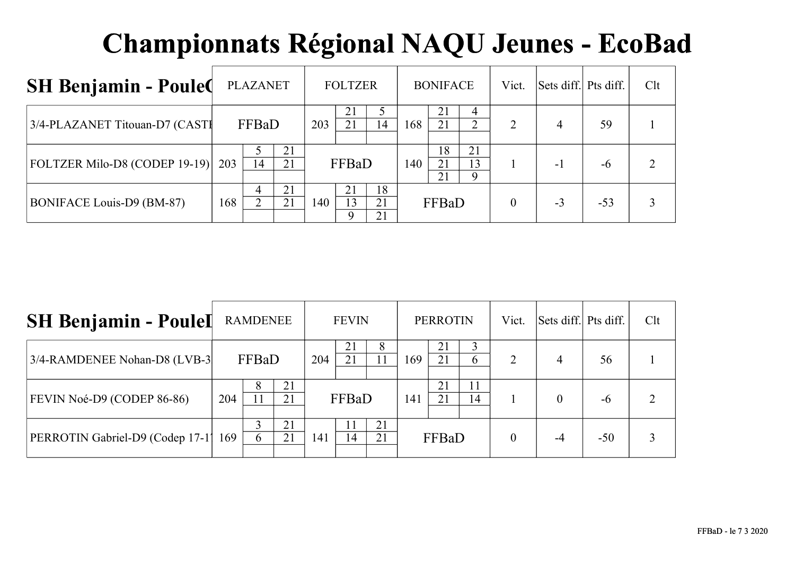| <b>SH Benjamin - Poule(</b>    |     | <b>PLAZANET</b>    |          |     | <b>FOLTZER</b> |                 |     | <b>BONIFACE</b> |               | Vict. | Sets diff. Pts diff. |       | Clt |
|--------------------------------|-----|--------------------|----------|-----|----------------|-----------------|-----|-----------------|---------------|-------|----------------------|-------|-----|
| 3/4-PLAZANET Titouan-D7 (CASTI |     | FFBaD<br>203<br>21 |          |     | 21<br>21       | $\overline{14}$ | 168 | 21<br>21        | 4<br>◠        | 2     | 4                    | 59    |     |
| FOLTZER Milo-D8 (CODEP 19-19)  | 203 | 14                 | 21       |     | FFBaD          |                 | 140 | 18<br>21<br>21  | 21<br>13<br>Q |       | -1                   | -6    |     |
| BONIFACE Louis-D9 (BM-87)      | 168 | 4<br>◠             | 21<br>21 | 140 | 13             | 18<br>21<br>21  |     | FFBaD           |               |       | $-3$                 | $-53$ |     |

| <b>SH Benjamin - Poulel</b>      |     | <b>RAMDENEE</b> |          |     | <b>FEVIN</b> |          |     | <b>PERROTIN</b> |          | Vict. | Sets diff. Pts diff. |       | Clt |
|----------------------------------|-----|-----------------|----------|-----|--------------|----------|-----|-----------------|----------|-------|----------------------|-------|-----|
| 3/4-RAMDENEE Nohan-D8 (LVB-3)    |     | FFBaD           |          | 204 | 21           |          | 169 | 21<br>21        | h.       | 2     | 4                    | 56    |     |
| FEVIN Noé-D9 (CODEP 86-86)       | 204 | 8               | 21<br>21 |     | FFBaD        |          | 141 | 21<br>21        | 11<br>14 |       | $\theta$             | $-6$  |     |
| PERROTIN Gabriel-D9 (Codep 17-1) | 169 | $\sigma$        | 21<br>21 | 141 | -11<br>14    | 21<br>21 |     | FFBaD           |          |       | $-4$                 | $-50$ |     |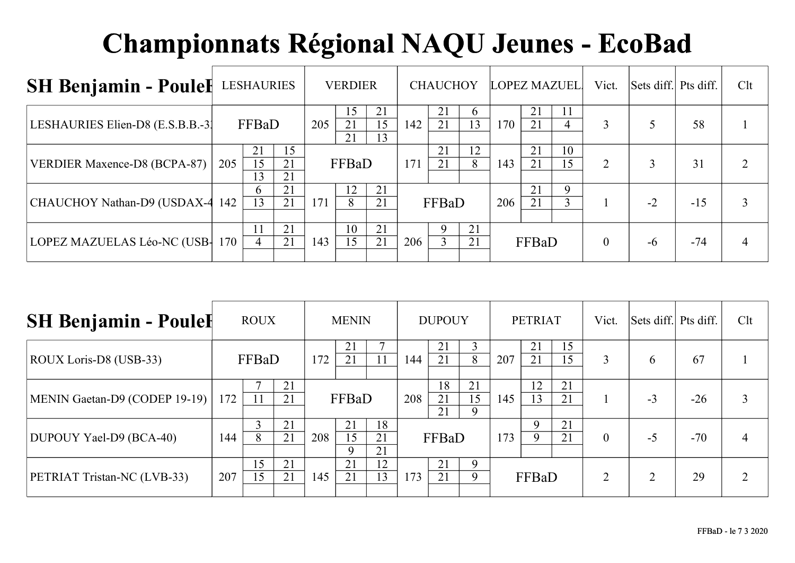| <b>SH Benjamin - Poulel</b>      | LESHAURIES |                    |                |     | <b>VERDIER</b> |                |     | <b>CHAUCHOY</b>  |                | <b>LOPEZ MAZUEL</b> |          |                      | Vict.    | Sets diff. Pts diff. |       | Clt |
|----------------------------------|------------|--------------------|----------------|-----|----------------|----------------|-----|------------------|----------------|---------------------|----------|----------------------|----------|----------------------|-------|-----|
| LESHAURIES Elien-D8 (E.S.B.B.-3) |            | FFBaD              |                | 205 | 15<br>21<br>21 | 21<br>15<br>13 | 142 | 21<br>21         | $\sigma$<br>13 | 170                 | 21<br>21 | 11<br>$\overline{4}$ | 3        |                      | 58    |     |
| VERDIER Maxence-D8 (BCPA-87)     | 205        | 21<br>15<br>13     | 15<br>21<br>21 |     | FFBaD          |                | 171 | 21<br>21         | 12<br>8        | 143                 | 21<br>21 | 10<br>15             | 2        |                      | 31    |     |
| CHAUCHOY Nathan-D9 (USDAX-4      | 142        | <sub>b</sub><br>13 | 21<br>21       | 171 | 12<br>8        | 21<br>21       |     | FFBaD            |                | 206                 | 21<br>21 | 9<br>3               |          | $-2$                 | $-15$ |     |
| LOPEZ MAZUELAS Léo-NC (USB-      | 170        | $\overline{4}$     | 21<br>21       | 143 | 10<br>15       | 21<br>21       | 206 | $\mathbf Q$<br>3 | 21<br>21       |                     | FFBaD    |                      | $\theta$ | $-6$                 | $-74$ |     |

| <b>SH Benjamin - Poulel</b>   |     | <b>ROUX</b> |          |     | <b>MENIN</b>            |                |     | <b>DUPOUY</b>  |                     |     | <b>PETRIAT</b> |          | Vict.          | Sets diff. Pts diff. |       | Clt |
|-------------------------------|-----|-------------|----------|-----|-------------------------|----------------|-----|----------------|---------------------|-----|----------------|----------|----------------|----------------------|-------|-----|
| ROUX Loris-D8 (USB-33)        |     | FFBaD       |          | 172 | 21<br>21                |                |     | 21<br>21       | $\mathfrak{Z}$<br>8 | 207 | 21<br>21       | 15<br>15 | 3              | <sub>b</sub>         | 67    |     |
| MENIN Gaetan-D9 (CODEP 19-19) | 172 |             | 21<br>21 |     | FFBaD                   |                | 208 | 18<br>21<br>21 | 21<br>15<br>9       | 145 | 12<br>13       | 21<br>21 |                | $-3$                 | $-26$ |     |
| DUPOUY Yael-D9 (BCA-40)       | 144 | 8           | 21<br>21 | 208 | 21<br>15<br>$\mathbf Q$ | 18<br>21<br>21 |     | FFBaD          |                     | 173 | 9              | 21<br>21 | $\theta$       | $-5$                 | $-70$ | 4   |
| PETRIAT Tristan-NC (LVB-33)   | 207 | 15<br>15    | 21<br>21 | 145 | 21<br>21                | 12<br>13       | 173 | 21<br>21       | $\mathbf Q$<br>9    |     | FFBaD          |          | $\overline{2}$ |                      | 29    | ↑   |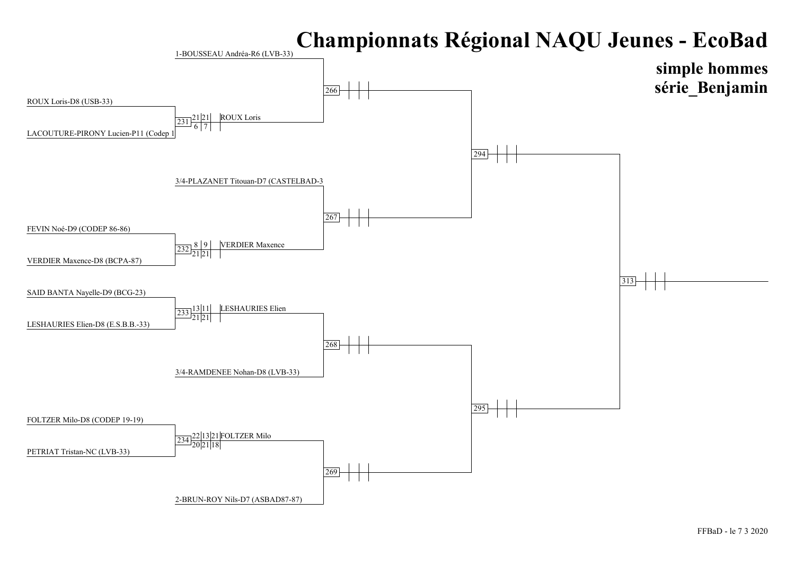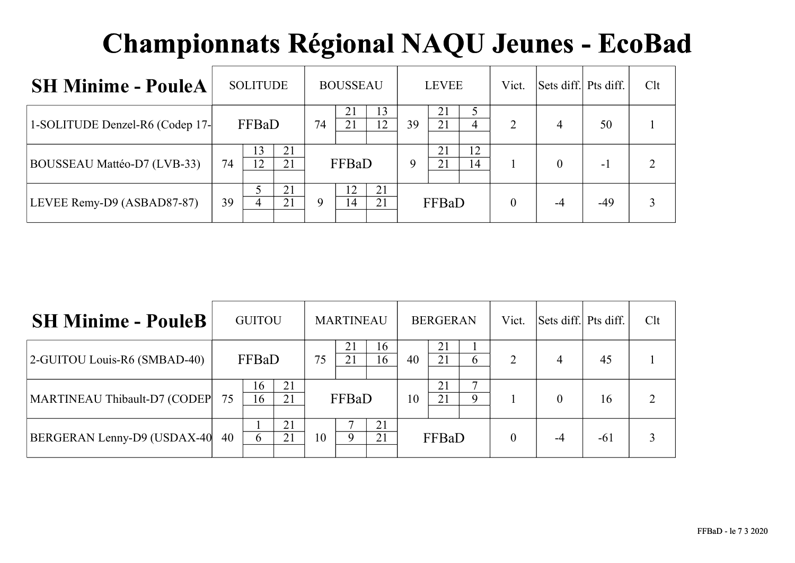| <b>SH Minime - PouleA</b>       |    | <b>SOLITUDE</b> |          |   | <b>BOUSSEAU</b> |          |    | <b>LEVEE</b> |          | Vict.    | Sets diff. Pts diff. |       | Clt            |
|---------------------------------|----|-----------------|----------|---|-----------------|----------|----|--------------|----------|----------|----------------------|-------|----------------|
| 1-SOLITUDE Denzel-R6 (Codep 17- |    | FFBaD           |          |   | 21<br>21        | 13<br>12 | 39 | 21<br>21     | 4        | 2        | 4                    | 50    |                |
| BOUSSEAU Mattéo-D7 (LVB-33)     | 74 | 13<br>12        | 21<br>21 |   | FFBaD           |          | 9  | 21<br>21     | 12<br>14 |          | 0                    | $-1$  | $\overline{2}$ |
| LEVEE Remy-D9 (ASBAD87-87)      | 39 |                 | 21<br>21 | 9 | 14              | 21<br>21 |    | FFBaD        |          | $\theta$ | -4                   | $-49$ | 3              |

| <b>SH Minime - PouleB</b>    |    | <b>GUITOU</b> |          |    | <b>MARTINEAU</b> |          |    | <b>BERGERAN</b> |        | Vict.          | Sets diff. Pts diff. |       | Clt |
|------------------------------|----|---------------|----------|----|------------------|----------|----|-----------------|--------|----------------|----------------------|-------|-----|
| 2-GUITOU Louis-R6 (SMBAD-40) |    | FFBaD         |          | 75 | 21               | 16<br>16 | 40 | 21<br>21        | h.     | $\overline{2}$ | 4                    | 45    |     |
| MARTINEAU Thibault-D7 (CODEP | 75 | 16<br>16      | 21<br>21 |    | FFBaD            |          | 10 | 21<br>21        | −<br>Q |                |                      | 16    | ↑   |
| BERGERAN Lenny-D9 (USDAX-40  | 40 | 6             | 21<br>21 | 10 | 9                | 21<br>21 |    | FFBaD           |        | $\theta$       |                      | $-61$ | 3   |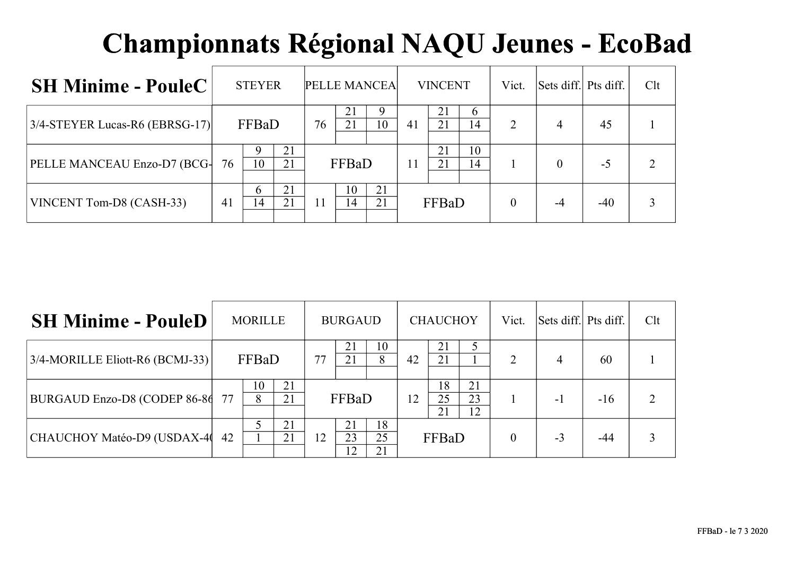| <b>SH Minime - PouleC</b>         | <b>STEYER</b>                        |    |          | PELLE MANCEA |    | <b>VINCENT</b> |          | Vict.    | Sets diff. Pts diff. |       | Clt |
|-----------------------------------|--------------------------------------|----|----------|--------------|----|----------------|----------|----------|----------------------|-------|-----|
| $3/4$ -STEYER Lucas-R6 (EBRSG-17) | FFBaD                                | 76 | 21       | 10           | 41 | 21<br>21       | 6<br>14  | 2        | 4                    | 45    |     |
| PELLE MANCEAU Enzo-D7 (BCG-       | 21<br>9<br>10<br>21<br>76            |    | FFBaD    |              | 11 | 21<br>21       | 10<br>14 |          |                      | $-5$  |     |
| VINCENT Tom-D8 (CASH-33)          | 21<br><sub>0</sub><br>21<br>14<br>41 |    | 10<br>14 | 21<br>21     |    | FFBaD          |          | $\theta$ | -4                   | $-40$ |     |

| <b>SH Minime - PouleD</b>          |    | <b>MORILLE</b> |          |    | <b>BURGAUD</b>       |                |    | <b>CHAUCHOY</b> |                | Vict.          | Sets diff. Pts diff. |       | Clt |
|------------------------------------|----|----------------|----------|----|----------------------|----------------|----|-----------------|----------------|----------------|----------------------|-------|-----|
| $3/4$ -MORILLE Eliott-R6 (BCMJ-33) |    | FFBaD          |          | 77 | 21                   | 10<br>8        | 42 | 21<br>21        |                | $\overline{2}$ | 4                    | 60    |     |
| BURGAUD Enzo-D8 (CODEP 86-86       |    | 10<br>8        | 21<br>21 |    | FFBaD                |                | 12 | 18<br>25<br>21  | 21<br>23<br>12 |                | - 1                  | $-16$ |     |
| CHAUCHOY Matéo-D9 (USDAX-40        | 42 |                | 21<br>21 | 12 | 21<br>23<br>$12^{-}$ | 18<br>25<br>21 |    | FFBaD           |                |                | $-3$                 | -44   |     |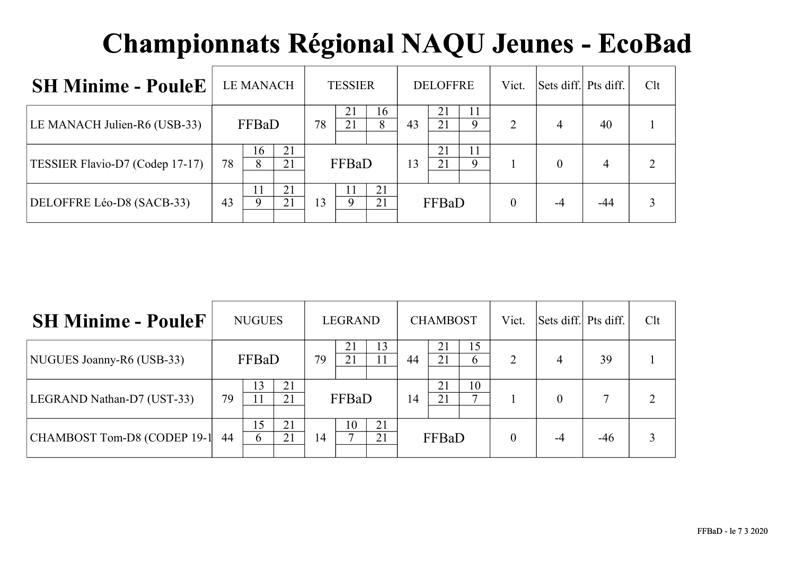| <b>SH Minime - PouleE</b>       |    | <b>LE MANACH</b> |          |    | <b>TESSIER</b> |          |    | <b>DELOFFRE</b> |         | Vict.    | Sets diff. Pts diff. |       | Clt |
|---------------------------------|----|------------------|----------|----|----------------|----------|----|-----------------|---------|----------|----------------------|-------|-----|
| LE MANACH Julien-R6 (USB-33)    |    | FFBaD            |          | 78 | 21<br>21       | 16<br>8  | 43 | 21<br>21        | 11<br>9 | 2        | $\overline{4}$       | 40    |     |
| TESSIER Flavio-D7 (Codep 17-17) | 78 | 16<br>8          | 21<br>21 |    | FFBaD          |          | 13 | 21<br>21        | 11<br>9 |          | $\Omega$             | 4     |     |
| DELOFFRE Léo-D8 (SACB-33)       | 43 | 11<br>Q          | 21<br>21 | 13 |                | 21<br>21 |    | FFBaD           |         | $\theta$ | $-4$                 | $-44$ |     |

| <b>SH Minime - PouleF</b>   |    | <b>NUGUES</b> |          |    | LEGRAND |          |    | <b>CHAMBOST</b> |          | Vict.          | Sets diff. Pts diff. |       | Clt |
|-----------------------------|----|---------------|----------|----|---------|----------|----|-----------------|----------|----------------|----------------------|-------|-----|
| NUGUES Joanny-R6 (USB-33)   |    | FFBaD         |          | 79 | 21      | 13       | 44 | 21<br>21        | 15<br>h. | $\overline{2}$ | 4                    | 39    |     |
| LEGRAND Nathan-D7 (UST-33)  | 79 | 13            | 21<br>21 |    | FFBaD   |          | 14 | 21<br>21        | 10<br>⇁  |                |                      | 7     | ∍   |
| CHAMBOST Tom-D8 (CODEP 19-1 | 44 | 15<br>6       | 21<br>21 | 14 | 10      | 21<br>21 |    | FFBaD           |          | $\theta$       |                      | $-46$ | 3   |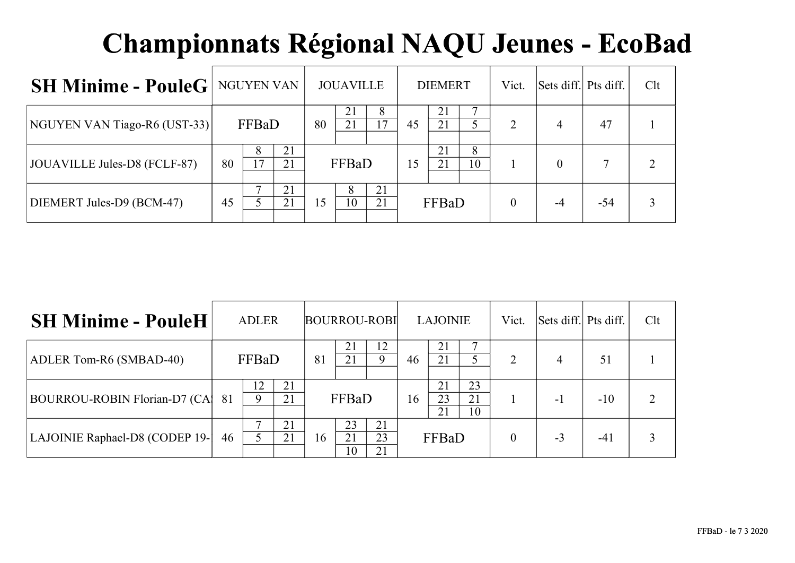| <b>SH Minime - PouleG</b>   NGUYEN VAN |    |         |          |    | <b>JOUAVILLE</b> |          |    | <b>DIEMERT</b> |         | Vict.    | Sets diff. Pts diff. |     | Clt |
|----------------------------------------|----|---------|----------|----|------------------|----------|----|----------------|---------|----------|----------------------|-----|-----|
| NGUYEN VAN Tiago-R6 (UST-33)           |    | FFBaD   |          | 80 | 21<br>21         | 8<br>7   | 45 | 21<br>21       |         | 2        | 4                    | 47  |     |
| JOUAVILLE Jules-D8 (FCLF-87)           | 80 | 8<br>17 | 21<br>21 |    | FFBaD            |          | 15 | 21<br>21       | 8<br>10 |          |                      |     |     |
| DIEMERT Jules-D9 (BCM-47)              | 45 |         | 21<br>21 | 15 | 10               | 21<br>21 |    | FFBaD          |         | $\theta$ | -4                   | -54 |     |

| <b>SH Minime - PouleH</b>            |    | <b>ADLER</b> |          |    |                | <b>BOURROU-ROBI</b> |       | <b>LAJOINIE</b> |                | Vict.          | Sets diff. Pts diff. |       | Clt |
|--------------------------------------|----|--------------|----------|----|----------------|---------------------|-------|-----------------|----------------|----------------|----------------------|-------|-----|
| ADLER Tom-R6 (SMBAD-40)              |    | FFBaD        |          | 81 | 21             | 12<br>Q             | 46    | 21<br>21        |                | $\overline{2}$ | 4                    | 51    |     |
| <b>BOURROU-ROBIN Florian-D7 (CA)</b> | 81 | 12<br>Q      | 21<br>21 |    | FFBaD          |                     | 16    | 21<br>23<br>21  | 23<br>21<br>10 |                | -1                   | $-10$ | ∍   |
| LAJOINIE Raphael-D8 (CODEP 19-       | 46 |              | 21<br>21 | 16 | 23<br>21<br>10 | 21<br>23<br>21      | FFBaD |                 |                | $\theta$       | $-3$                 | $-41$ |     |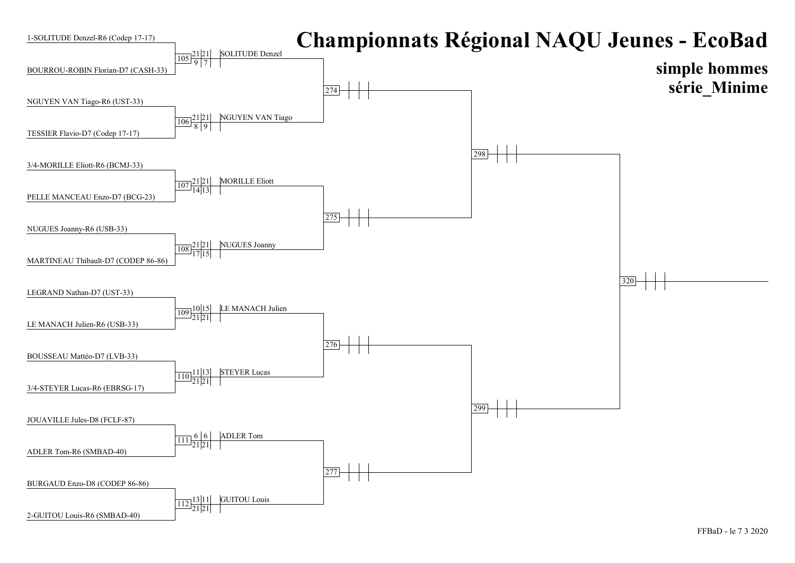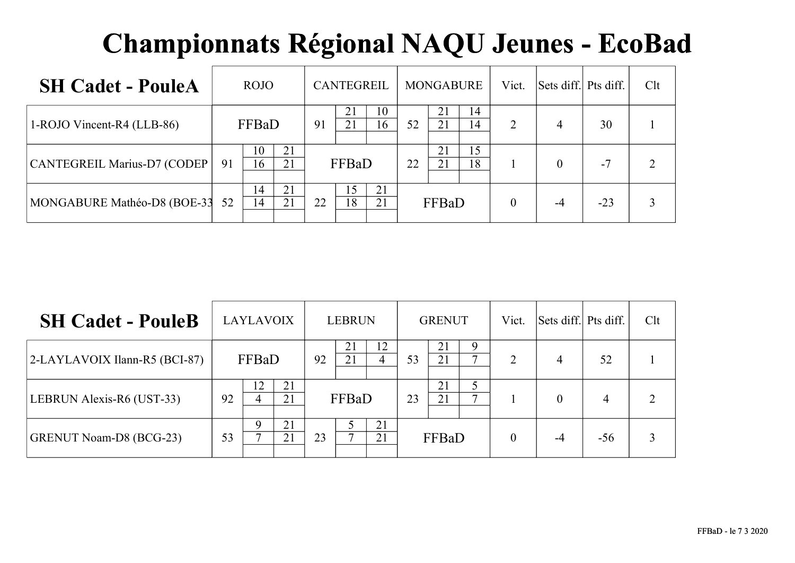| <b>SH Cadet - PouleA</b>    | <b>ROJO</b>    |          |    | <b>CANTEGREIL</b> |                        |    | <b>MONGABURE</b> |          | Vict. | Sets diff. Pts diff. |       | Clt |
|-----------------------------|----------------|----------|----|-------------------|------------------------|----|------------------|----------|-------|----------------------|-------|-----|
| 1-ROJO Vincent-R4 (LLB-86)  | FFBaD          |          | 91 | 21<br>21          | 10<br>16 <sup>16</sup> | 52 | 21<br>21         | 14<br>14 | 2     | 4                    | 30    |     |
| CANTEGREIL Marius-D7 (CODEP | 10<br>16<br>91 | 21<br>21 |    | FFBaD             |                        | 22 | 21<br>21         | 15<br>18 |       |                      | $-7$  |     |
| MONGABURE Mathéo-D8 (BOE-33 | 14<br>52<br>14 | 21<br>21 | 22 | 15<br>18          | 21<br>21               |    | FFBaD            |          |       |                      | $-23$ |     |

| <b>SH Cadet - PouleB</b>          |    | <b>LAYLAVOIX</b> |          |    | <b>LEBRUN</b> |          |    | <b>GRENUT</b> |        | Vict.    | Sets diff. Pts diff. |       | Clt |
|-----------------------------------|----|------------------|----------|----|---------------|----------|----|---------------|--------|----------|----------------------|-------|-----|
| $ 2-LAYLAVOIX I$ lann-R5 (BCI-87) |    | FFBaD            |          | 92 | 21            | 12<br>4  | 53 | 21<br>21      | 9<br>⇁ | 2        | $\overline{4}$       | 52    |     |
| LEBRUN Alexis-R6 (UST-33)         | 92 | 12<br>4          | 21<br>21 |    | FFBaD         |          | 23 | 21<br>21      |        |          | $\Omega$             | 4     |     |
| <b>GRENUT Noam-D8 (BCG-23)</b>    | 53 | 9                | 21<br>21 | 23 |               | 21<br>21 |    | FFBaD         |        | $\theta$ | $-4$                 | $-56$ |     |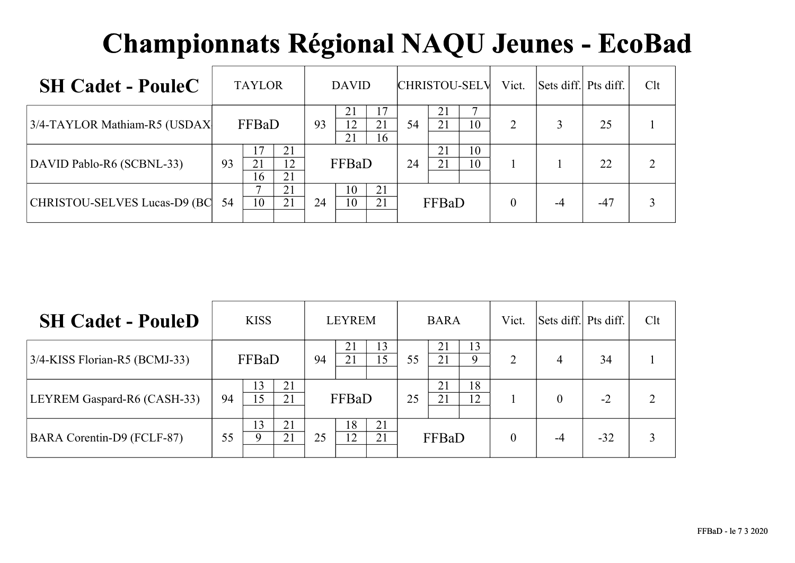| <b>SH Cadet - PouleC</b>            |    | <b>TAYLOR</b> |                |    | <b>DAVID</b>   |                |       |          | <b>CHRISTOU-SELV</b> | Vict.          | Sets diff. Pts diff. |       | Clt |
|-------------------------------------|----|---------------|----------------|----|----------------|----------------|-------|----------|----------------------|----------------|----------------------|-------|-----|
| 3/4-TAYLOR Mathiam-R5 (USDAX        |    | FFBaD         |                | 93 | 21<br>12<br>21 | 17<br>21<br>16 | 54    | 21<br>21 | 10                   | $\overline{2}$ |                      | 25    |     |
| DAVID Pablo-R6 (SCBNL-33)           | 93 | 21<br>16      | 21<br>12<br>21 |    | FFBaD          |                | 24    | 21<br>21 | 10<br>10             |                |                      | 22    |     |
| <b>CHRISTOU-SELVES Lucas-D9 (BC</b> | 54 | 10            | 21<br>21       | 24 | 10<br>10       | 21<br>21       | FFBaD |          |                      |                |                      | $-47$ |     |

| <b>SH Cadet - PouleD</b>          |    | <b>KISS</b>       |          |    | <b>LEYREM</b> |          |       | <b>BARA</b> |          | Vict.          | Sets diff. Pts diff. |       | Clt |
|-----------------------------------|----|-------------------|----------|----|---------------|----------|-------|-------------|----------|----------------|----------------------|-------|-----|
| 3/4-KISS Florian-R5 (BCMJ-33)     |    | FFBaD             |          | 94 | 21<br>21      | 13<br>15 | 55    | 21<br>21    | 13<br>9  | $\overline{2}$ | 4                    | 34    |     |
| LEYREM Gaspard-R6 (CASH-33)       | 94 | 13<br>15          | 21<br>21 |    | FFBaD         |          | 25    | 21<br>21    | 18<br>12 |                |                      | $-2$  | ∍   |
| <b>BARA Corentin-D9 (FCLF-87)</b> | 55 | 13<br>$\mathbf Q$ | 21<br>21 | 25 | 18<br>12      | 21<br>21 | FFBaD |             |          | $\theta$       | -4                   | $-32$ | 3   |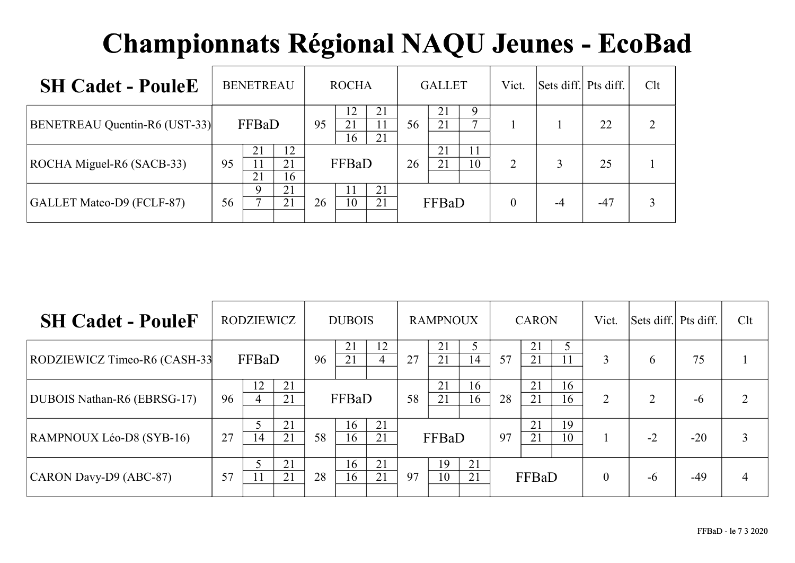| <b>SH Cadet - PouleE</b>      | <b>BENETREAU</b>                       | <b>ROCHA</b>                     | <b>GALLET</b>              | Vict.          | Sets diff. Pts diff. |       | Clt |
|-------------------------------|----------------------------------------|----------------------------------|----------------------------|----------------|----------------------|-------|-----|
| BENETREAU Quentin-R6 (UST-33) | FFBaD                                  | 12<br>21<br>21<br>95<br>21<br>16 | 21<br>9<br>⇁<br>21<br>56   |                |                      | 22    |     |
| ROCHA Miguel-R6 (SACB-33)     | 12<br>21<br>21<br>95<br>11<br>21<br>16 | FFBaD                            | 21<br>11<br>21<br>10<br>26 | $\mathfrak{D}$ |                      | 25    |     |
| GALLET Mateo-D9 (FCLF-87)     | 21<br>9<br>21<br>⇁<br>56               | 21<br>26<br>10<br>21             | FFBaD                      | $\theta$       | $-4$                 | $-47$ |     |

| <b>SH Cadet - PouleF</b>     | RODZIEWICZ    |          | <b>DUBOIS</b> |          |          | <b>RAMPNOUX</b> |          |          | <b>CARON</b> |          |          | Vict.    | Sets diff. Pts diff. |       | Clt |
|------------------------------|---------------|----------|---------------|----------|----------|-----------------|----------|----------|--------------|----------|----------|----------|----------------------|-------|-----|
| RODZIEWICZ Timeo-R6 (CASH-33 | FFBaD         |          | 96            | 21<br>21 | 12       | 27              | 21<br>21 | 14       | 57           | 21<br>21 | 5<br>11  | 3        | 6                    | 75    |     |
| DUBOIS Nathan-R6 (EBRSG-17)  | 12<br>96<br>4 | 21<br>21 |               | FFBaD    |          | 58              | 21<br>21 | 16<br>16 | 28           | 21<br>21 | 16<br>16 | 2        | $\mathcal{D}$        | $-6$  |     |
| RAMPNOUX Léo-D8 (SYB-16)     | 27<br>14      | 21<br>21 | 58            | 16<br>16 | 21<br>21 |                 | FFBaD    |          | 97           | 21<br>21 | 19<br>10 |          | $-2$                 | $-20$ |     |
| CARON Davy-D9 (ABC-87)       | 57            | 21<br>21 | 28            | 16<br>16 | 21<br>21 | 97              | 19<br>10 | 21<br>21 |              | FFBaD    |          | $\theta$ | $-6$                 | $-49$ | 4   |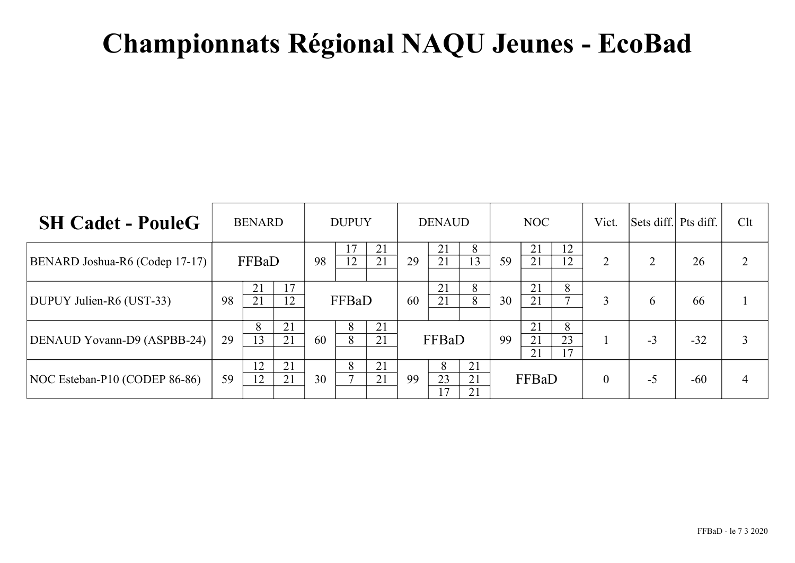| <b>SH Cadet - PouleG</b>       |    | <b>BENARD</b> |          | <b>DUPUY</b> |          |          | <b>DENAUD</b> |               |                | NOC |                |                   | Vict.          | Sets diff. Pts diff. |       | Clt |
|--------------------------------|----|---------------|----------|--------------|----------|----------|---------------|---------------|----------------|-----|----------------|-------------------|----------------|----------------------|-------|-----|
| BENARD Joshua-R6 (Codep 17-17) |    | FFBaD         |          | 98           | 17<br>12 | 21<br>21 | 29            | 21<br>21      | 8<br>13        | 59  | 21<br>21       | 12<br>12          | $\overline{2}$ | ∍                    | 26    | ∍   |
| DUPUY Julien-R6 (UST-33)       | 98 | 21<br>21      | 17<br>12 |              | FFBaD    |          | 60            | 21<br>21      | 8<br>8         | 30  | 21<br>21       | 8<br>$\mathbf{r}$ | 3              | 6                    | 66    |     |
| DENAUD Yovann-D9 (ASPBB-24)    | 29 | 8<br>13       | 21<br>21 | 60           | 8<br>8   | 21<br>21 |               | FFBaD         |                | 99  | 21<br>21<br>21 | 8<br>23<br>17     |                | $-3$                 | $-32$ | 3   |
| NOC Esteban-P10 (CODEP 86-86)  | 59 | 12<br>12      | 21<br>21 | 30           | 8        | 21<br>21 | 99            | 8<br>23<br>17 | 21<br>21<br>21 |     | FFBaD          |                   | $\theta$       | $-5$                 | $-60$ |     |